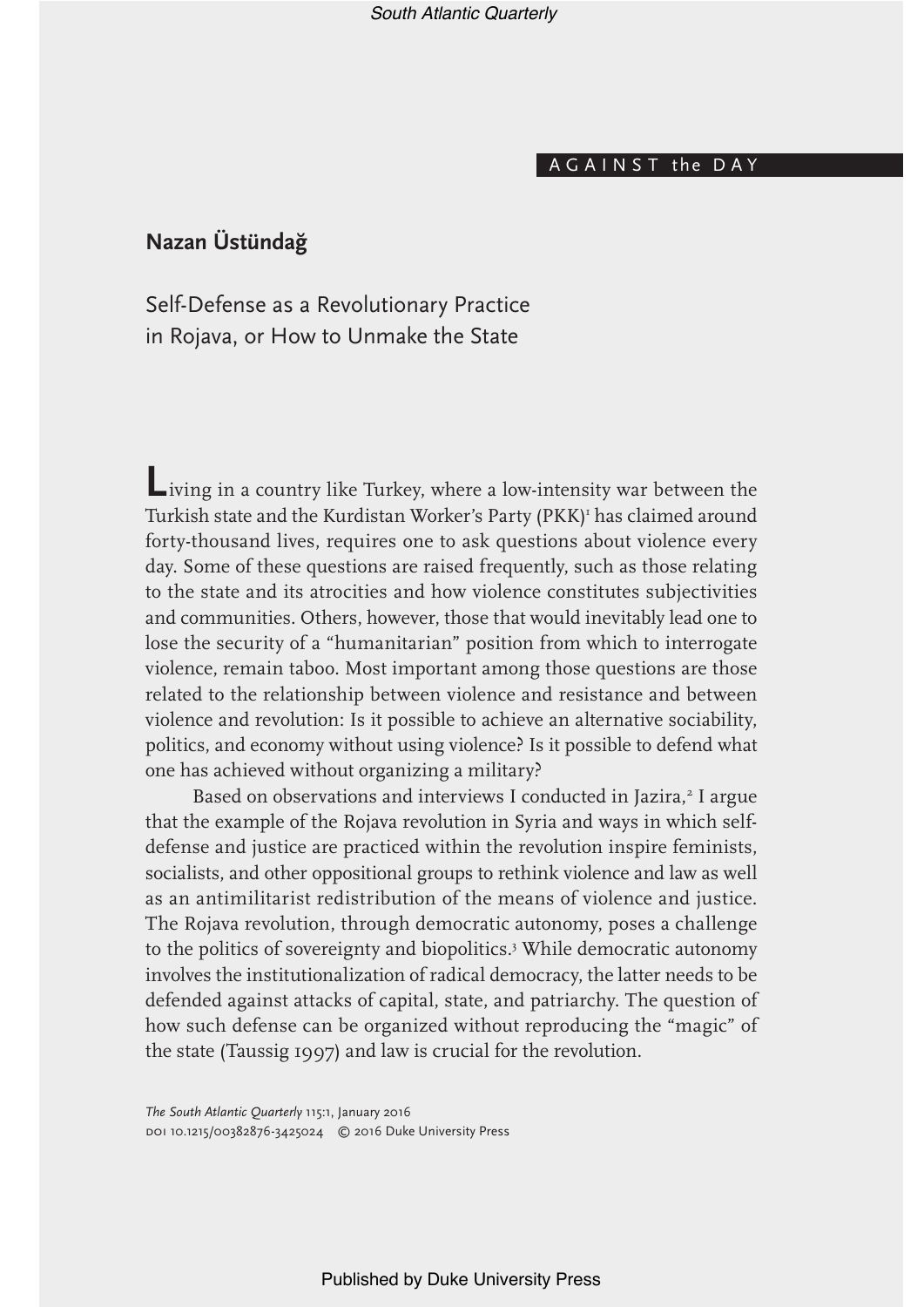## A G A I N S T the DAY

# **Nazan Üstündağ**

Self-Defense as a Revolutionary Practice in Rojava, or How to Unmake the State

**L**iving in a country like Turkey, where a low-intensity war between the Turkish state and the Kurdistan Worker's Party (PKK)<sup>1</sup> has claimed around forty-thousand lives, requires one to ask questions about violence every day. Some of these questions are raised frequently, such as those relating to the state and its atrocities and how violence constitutes subjectivities and communities. Others, however, those that would inevitably lead one to lose the security of a "humanitarian" position from which to interrogate violence, remain taboo. Most important among those questions are those related to the relationship between violence and resistance and between violence and revolution: Is it possible to achieve an alternative sociability, politics, and economy without using violence? Is it possible to defend what one has achieved without organizing a military?

Based on observations and interviews I conducted in Jazira,<sup>2</sup> I argue that the example of the Rojava revolution in Syria and ways in which selfdefense and justice are practiced within the revolution inspire feminists, socialists, and other oppositional groups to rethink violence and law as well as an antimilitarist redistribution of the means of violence and justice. The Rojava revolution, through democratic autonomy, poses a challenge to the politics of sovereignty and biopolitics.3 While democratic autonomy involves the institutionalization of radical democracy, the latter needs to be defended against attacks of capital, state, and patriarchy. The question of how such defense can be organized without reproducing the "magic" of the state (Taussig 1997) and law is crucial for the revolution.

The South Atlantic Quarterly 115:1, January 2016 doi 10.1215/00382876-3425024 © 2016 Duke University Press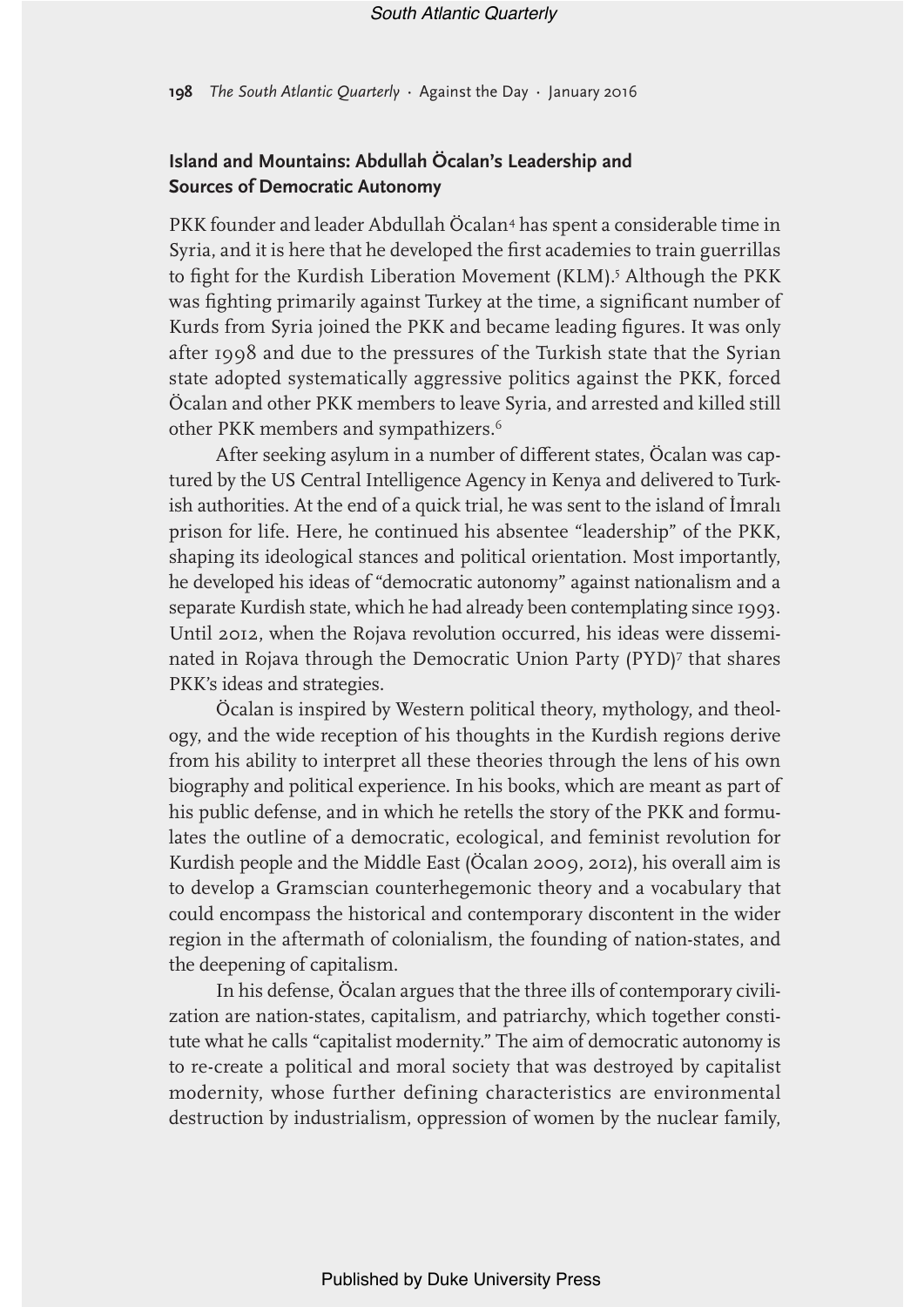**198** The South Atlantic Quarterly • Against the Day • January 2016

## **Island and Mountains: Abdullah Öcalan's Leadership and Sources of Democratic Autonomy**

PKK founder and leader Abdullah Öcalan<sup>4</sup> has spent a considerable time in Syria, and it is here that he developed the frst academies to train guerrillas to fight for the Kurdish Liberation Movement (KLM).<sup>5</sup> Although the PKK was fghting primarily against Turkey at the time, a signifcant number of Kurds from Syria joined the PKK and became leading fgures. It was only after 1998 and due to the pressures of the Turkish state that the Syrian state adopted systematically aggressive politics against the PKK, forced Öcalan and other PKK members to leave Syria, and arrested and killed still other PKK members and sympathizers.6

After seeking asylum in a number of diferent states, Öcalan was captured by the US Central Intelligence Agency in Kenya and delivered to Turkish authorities. At the end of a quick trial, he was sent to the island of İmralı prison for life. Here, he continued his absentee "leadership" of the PKK, shaping its ideological stances and political orientation. Most importantly, he developed his ideas of "democratic autonomy" against nationalism and a separate Kurdish state, which he had already been contemplating since 1993. Until 2012, when the Rojava revolution occurred, his ideas were disseminated in Rojava through the Democratic Union Party (PYD)7 that shares PKK's ideas and strategies.

Öcalan is inspired by Western political theory, mythology, and theology, and the wide reception of his thoughts in the Kurdish regions derive from his ability to interpret all these theories through the lens of his own biography and political experience. In his books, which are meant as part of his public defense, and in which he retells the story of the PKK and formulates the outline of a democratic, ecological, and feminist revolution for Kurdish people and the Middle East (Öcalan 2009, 2012), his overall aim is to develop a Gramscian counterhegemonic theory and a vocabulary that could encompass the historical and contemporary discontent in the wider region in the aftermath of colonialism, the founding of nation-states, and the deepening of capitalism.

In his defense, Öcalan argues that the three ills of contemporary civilization are nation-states, capitalism, and patriarchy, which together constitute what he calls "capitalist modernity." The aim of democratic autonomy is to re-create a political and moral society that was destroyed by capitalist modernity, whose further defining characteristics are environmental destruction by industrialism, oppression of women by the nuclear family,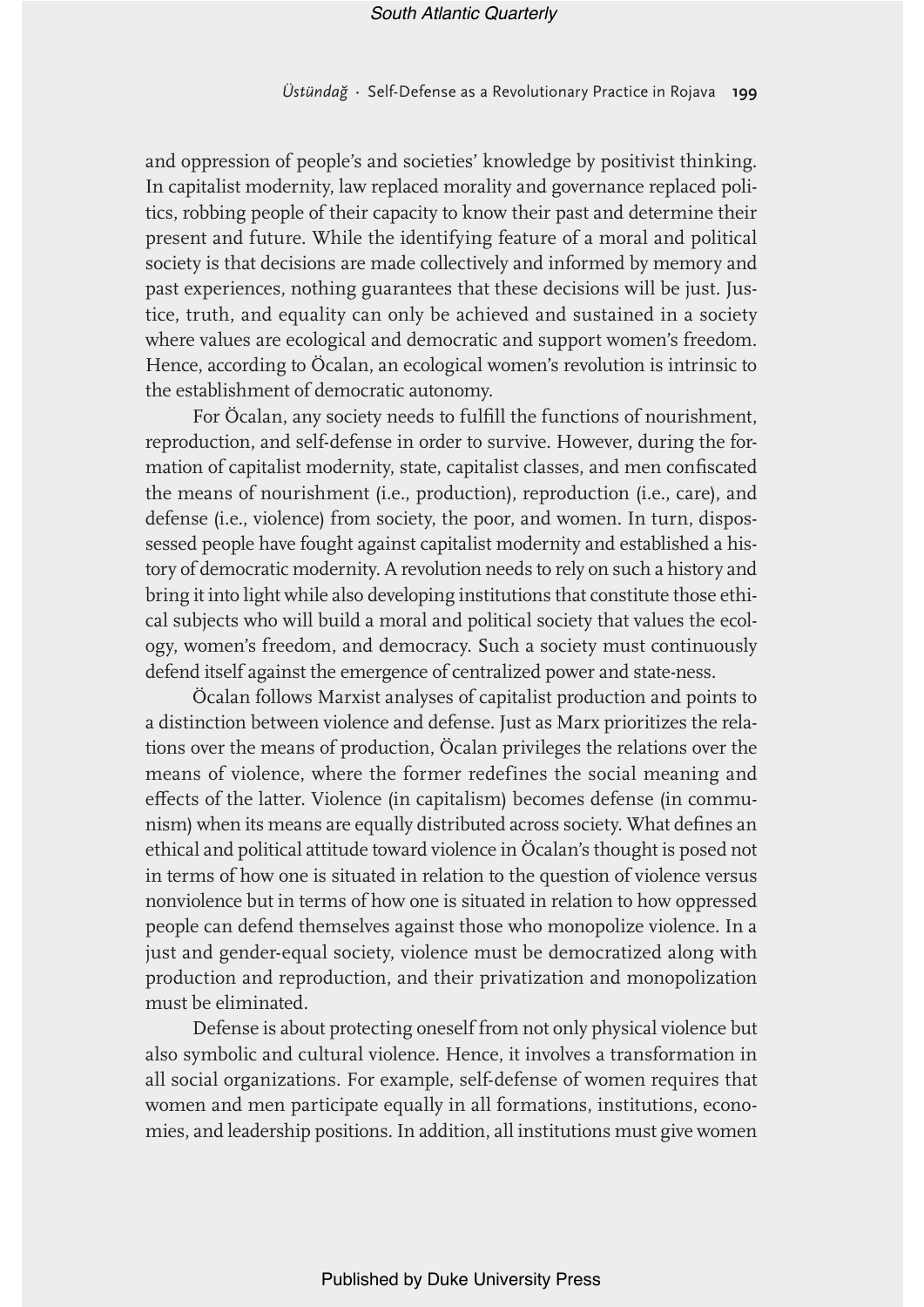and oppression of people's and societies' knowledge by positivist thinking. In capitalist modernity, law replaced morality and governance replaced politics, robbing people of their capacity to know their past and determine their present and future. While the identifying feature of a moral and political society is that decisions are made collectively and informed by memory and past experiences, nothing guarantees that these decisions will be just. Justice, truth, and equality can only be achieved and sustained in a society where values are ecological and democratic and support women's freedom. Hence, according to Öcalan, an ecological women's revolution is intrinsic to the establishment of democratic autonomy.

For Öcalan, any society needs to fulfll the functions of nourishment, reproduction, and self-defense in order to survive. However, during the formation of capitalist modernity, state, capitalist classes, and men confscated the means of nourishment (i.e., production), reproduction (i.e., care), and defense (i.e., violence) from society, the poor, and women. In turn, dispossessed people have fought against capitalist modernity and established a history of democratic modernity. A revolution needs to rely on such a history and bring it into light while also developing institutions that constitute those ethical subjects who will build a moral and political society that values the ecology, women's freedom, and democracy. Such a society must continuously defend itself against the emergence of centralized power and state-ness.

Öcalan follows Marxist analyses of capitalist production and points to a distinction between violence and defense. Just as Marx prioritizes the relations over the means of production, Öcalan privileges the relations over the means of violence, where the former redefines the social meaning and efects of the latter. Violence (in capitalism) becomes defense (in communism) when its means are equally distributed across society. What defnes an ethical and political attitude toward violence in Öcalan's thought is posed not in terms of how one is situated in relation to the question of violence versus nonviolence but in terms of how one is situated in relation to how oppressed people can defend themselves against those who monopolize violence. In a just and gender-equal society, violence must be democratized along with production and reproduction, and their privatization and monopolization must be eliminated.

Defense is about protecting oneself from not only physical violence but also symbolic and cultural violence. Hence, it involves a transformation in all social organizations. For example, self-defense of women requires that women and men participate equally in all formations, institutions, economies, and leadership positions. In addition, all institutions must give women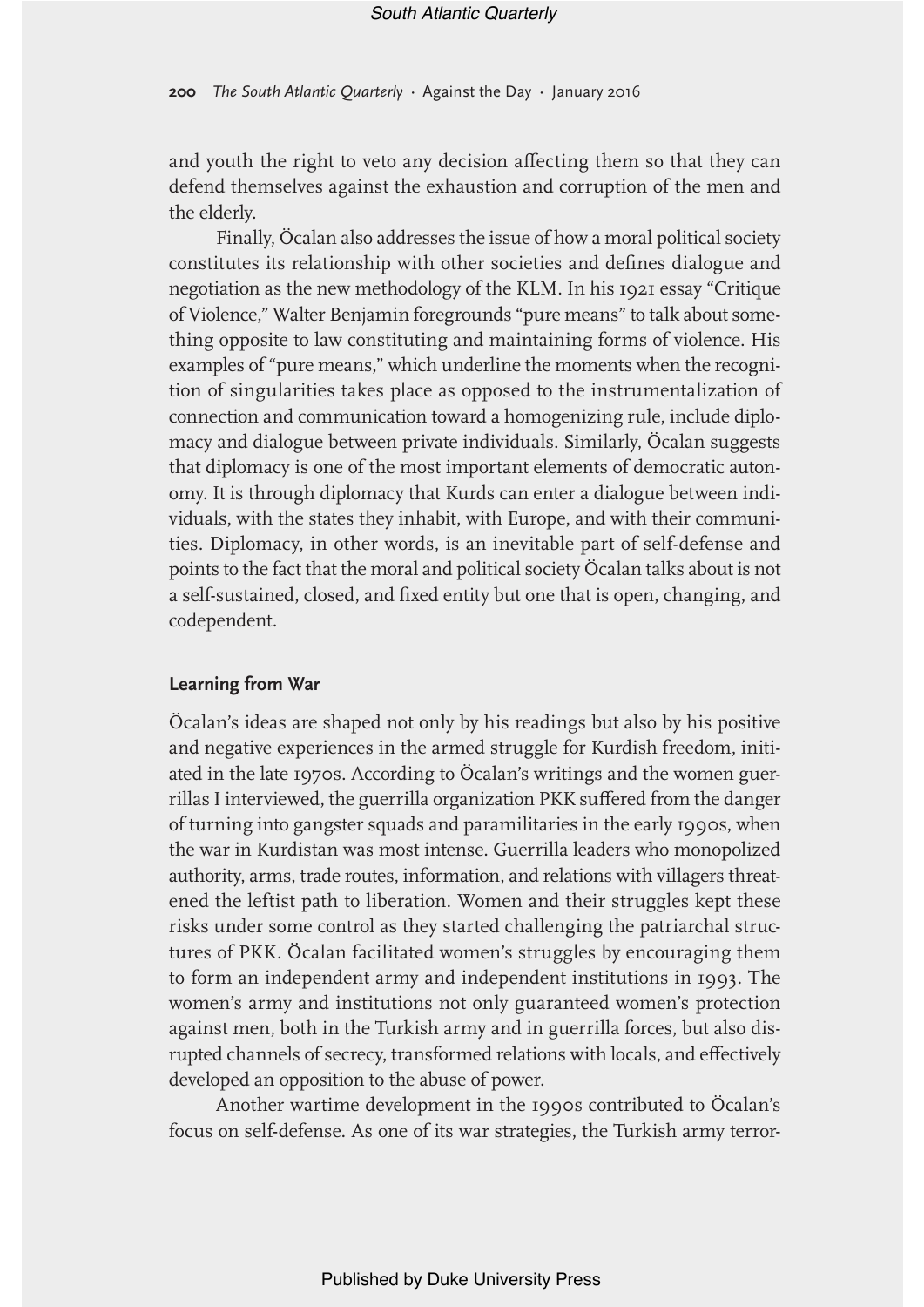**200** The South Atlantic Quarterly • Against the Day • January 2016

and youth the right to veto any decision afecting them so that they can defend themselves against the exhaustion and corruption of the men and the elderly.

Finally, Öcalan also addresses the issue of how a moral political society constitutes its relationship with other societies and defnes dialogue and negotiation as the new methodology of the KLM. In his 1921 essay "Critique of Violence," Walter Benjamin foregrounds "pure means" to talk about something opposite to law constituting and maintaining forms of violence. His examples of "pure means," which underline the moments when the recognition of singularities takes place as opposed to the instrumentalization of connection and communication toward a homogenizing rule, include diplomacy and dialogue between private individuals. Similarly, Öcalan suggests that diplomacy is one of the most important elements of democratic autonomy. It is through diplomacy that Kurds can enter a dialogue between individuals, with the states they inhabit, with Europe, and with their communities. Diplomacy, in other words, is an inevitable part of self-defense and points to the fact that the moral and political society Öcalan talks about is not a self-sustained, closed, and fxed entity but one that is open, changing, and codependent.

## **Learning from War**

Öcalan's ideas are shaped not only by his readings but also by his positive and negative experiences in the armed struggle for Kurdish freedom, initiated in the late 1970s. According to Öcalan's writings and the women guerrillas I interviewed, the guerrilla organization PKK sufered from the danger of turning into gangster squads and paramilitaries in the early 1990s, when the war in Kurdistan was most intense. Guerrilla leaders who monopolized authority, arms, trade routes, information, and relations with villagers threatened the leftist path to liberation. Women and their struggles kept these risks under some control as they started challenging the patriarchal structures of PKK. Öcalan facilitated women's struggles by encouraging them to form an independent army and independent institutions in 1993. The women's army and institutions not only guaranteed women's protection against men, both in the Turkish army and in guerrilla forces, but also disrupted channels of secrecy, transformed relations with locals, and efectively developed an opposition to the abuse of power.

Another wartime development in the 1990s contributed to Öcalan's focus on self-defense. As one of its war strategies, the Turkish army terror-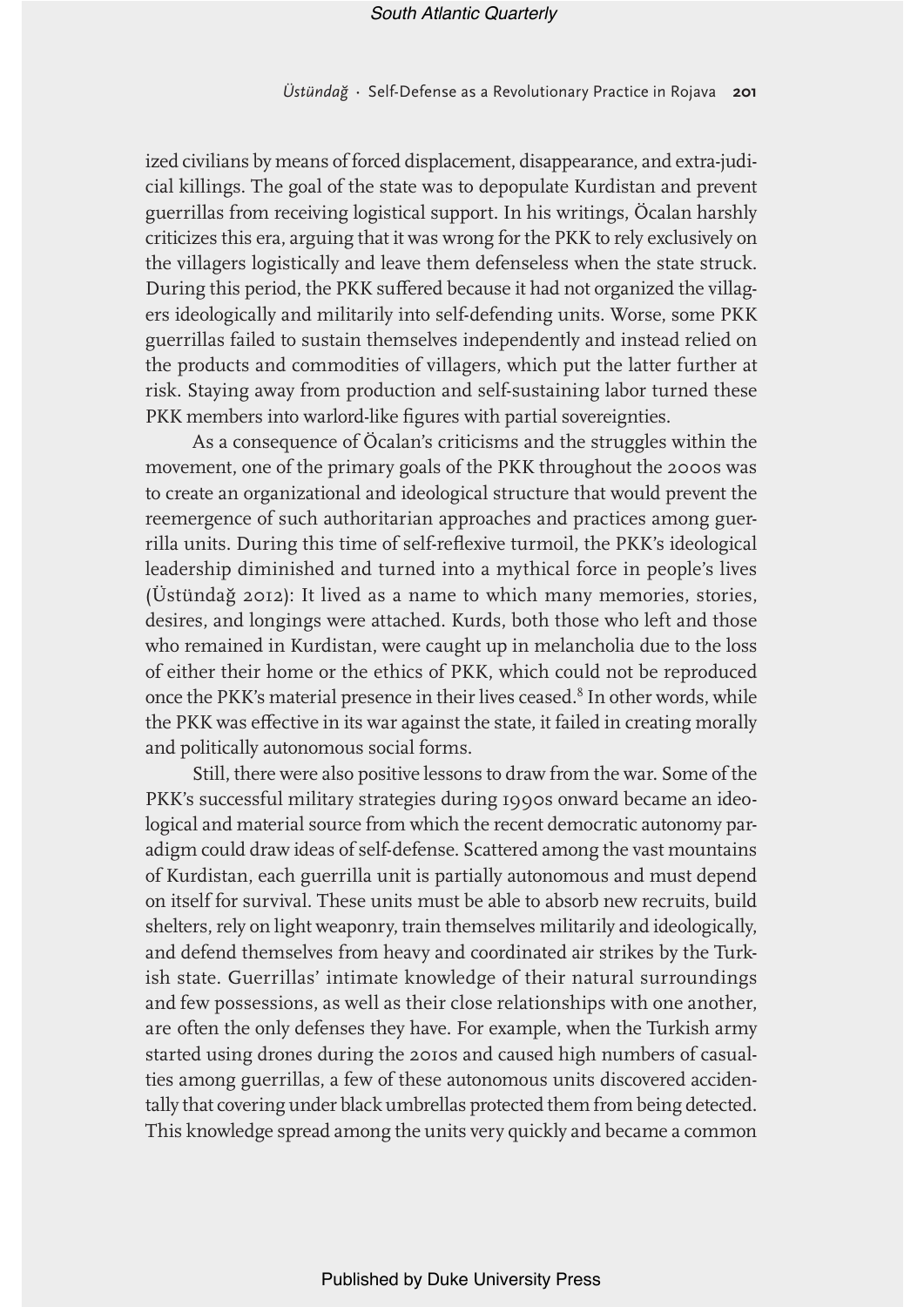Üstündağ • Self-Defense as a Revolutionary Practice in Rojava **201**

ized civilians by means of forced displacement, disappearance, and extra-judicial killings. The goal of the state was to depopulate Kurdistan and prevent guerrillas from receiving logistical support. In his writings, Öcalan harshly criticizes this era, arguing that it was wrong for the PKK to rely exclusively on the villagers logistically and leave them defenseless when the state struck. During this period, the PKK suffered because it had not organized the villagers ideologically and militarily into self-defending units. Worse, some PKK guerrillas failed to sustain themselves independently and instead relied on the products and commodities of villagers, which put the latter further at risk. Staying away from production and self-sustaining labor turned these PKK members into warlord-like figures with partial sovereignties.

As a consequence of Öcalan's criticisms and the struggles within the movement, one of the primary goals of the PKK throughout the 2000s was to create an organizational and ideological structure that would prevent the reemergence of such authoritarian approaches and practices among guerrilla units. During this time of self-refexive turmoil, the PKK's ideological leadership diminished and turned into a mythical force in people's lives (Üstündağ 2012): It lived as a name to which many memories, stories, desires, and longings were attached. Kurds, both those who left and those who remained in Kurdistan, were caught up in melancholia due to the loss of either their home or the ethics of PKK, which could not be reproduced once the PKK's material presence in their lives ceased.<sup>8</sup> In other words, while the PKK was effective in its war against the state, it failed in creating morally and politically autonomous social forms.

Still, there were also positive lessons to draw from the war. Some of the PKK's successful military strategies during 1990s onward became an ideological and material source from which the recent democratic autonomy paradigm could draw ideas of self-defense. Scattered among the vast mountains of Kurdistan, each guerrilla unit is partially autonomous and must depend on itself for survival. These units must be able to absorb new recruits, build shelters, rely on light weaponry, train themselves militarily and ideologically, and defend themselves from heavy and coordinated air strikes by the Turkish state. Guerrillas' intimate knowledge of their natural surroundings and few possessions, as well as their close relationships with one another, are often the only defenses they have. For example, when the Turkish army started using drones during the 2010s and caused high numbers of casualties among guerrillas, a few of these autonomous units discovered accidentally that covering under black umbrellas protected them from being detected. This knowledge spread among the units very quickly and became a common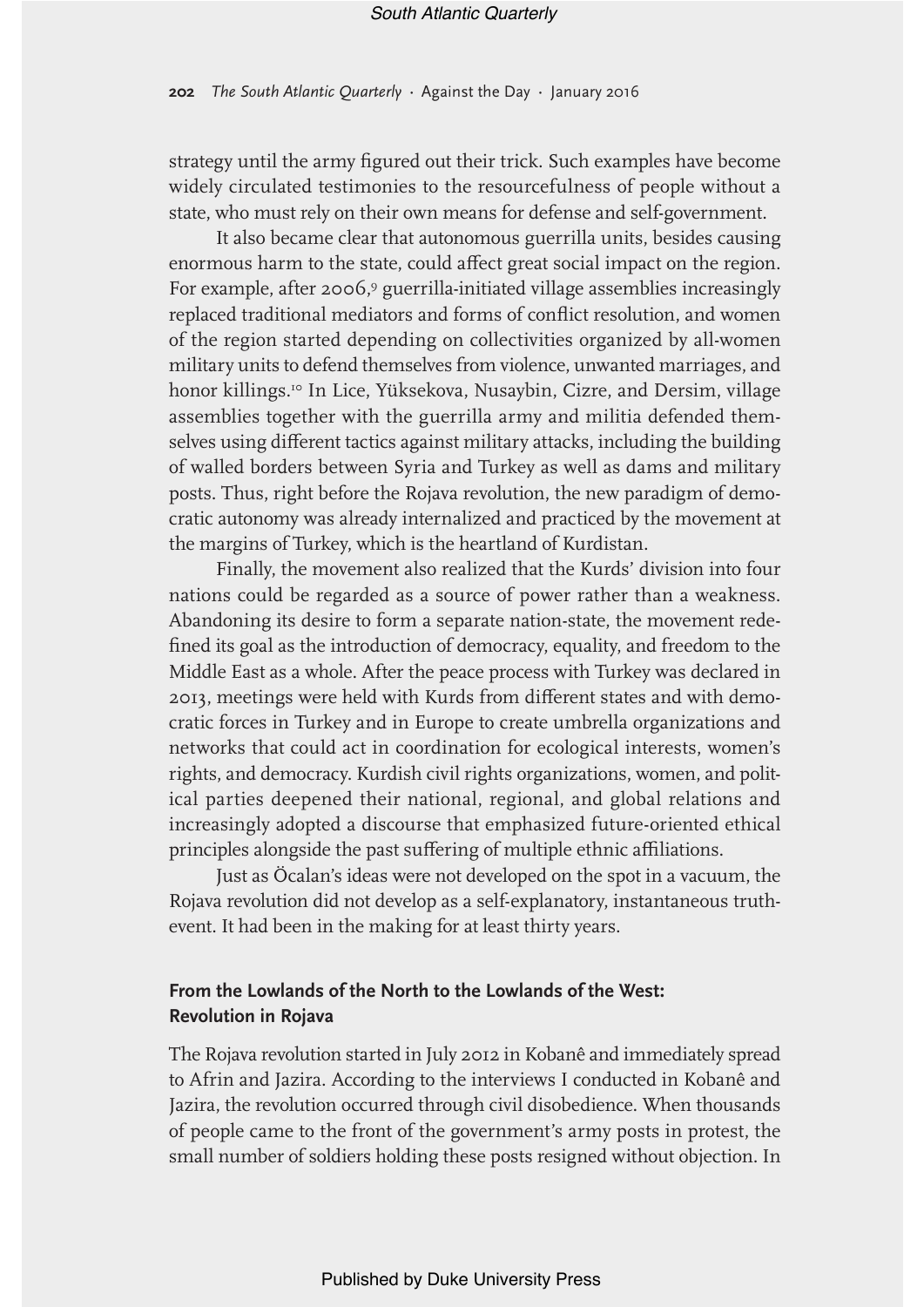**202** The South Atlantic Quarterly • Against the Day • January 2016

strategy until the army fgured out their trick. Such examples have become widely circulated testimonies to the resourcefulness of people without a state, who must rely on their own means for defense and self-government.

It also became clear that autonomous guerrilla units, besides causing enormous harm to the state, could affect great social impact on the region. For example, after 2006,<sup>9</sup> guerrilla-initiated village assemblies increasingly replaced traditional mediators and forms of confict resolution, and women of the region started depending on collectivities organized by all-women military units to defend themselves from violence, unwanted marriages, and honor killings.<sup>10</sup> In Lice, Yüksekova, Nusaybin, Cizre, and Dersim, village assemblies together with the guerrilla army and militia defended themselves using diferent tactics against military attacks, including the building of walled borders between Syria and Turkey as well as dams and military posts. Thus, right before the Rojava revolution, the new paradigm of democratic autonomy was already internalized and practiced by the movement at the margins of Turkey, which is the heartland of Kurdistan.

Finally, the movement also realized that the Kurds' division into four nations could be regarded as a source of power rather than a weakness. Abandoning its desire to form a separate nation-state, the movement redefned its goal as the introduction of democracy, equality, and freedom to the Middle East as a whole. After the peace process with Turkey was declared in 2013, meetings were held with Kurds from diferent states and with democratic forces in Turkey and in Europe to create umbrella organizations and networks that could act in coordination for ecological interests, women's rights, and democracy. Kurdish civil rights organizations, women, and political parties deepened their national, regional, and global relations and increasingly adopted a discourse that emphasized future-oriented ethical principles alongside the past suffering of multiple ethnic affiliations.

Just as Öcalan's ideas were not developed on the spot in a vacuum, the Rojava revolution did not develop as a self-explanatory, instantaneous truthevent. It had been in the making for at least thirty years.

## **From the Lowlands of the North to the Lowlands of the West: Revolution in Rojava**

The Rojava revolution started in July 2012 in Kobanê and immediately spread to Afrin and Jazira. According to the interviews I conducted in Kobanê and Jazira, the revolution occurred through civil disobedience. When thousands of people came to the front of the government's army posts in protest, the small number of soldiers holding these posts resigned without objection. In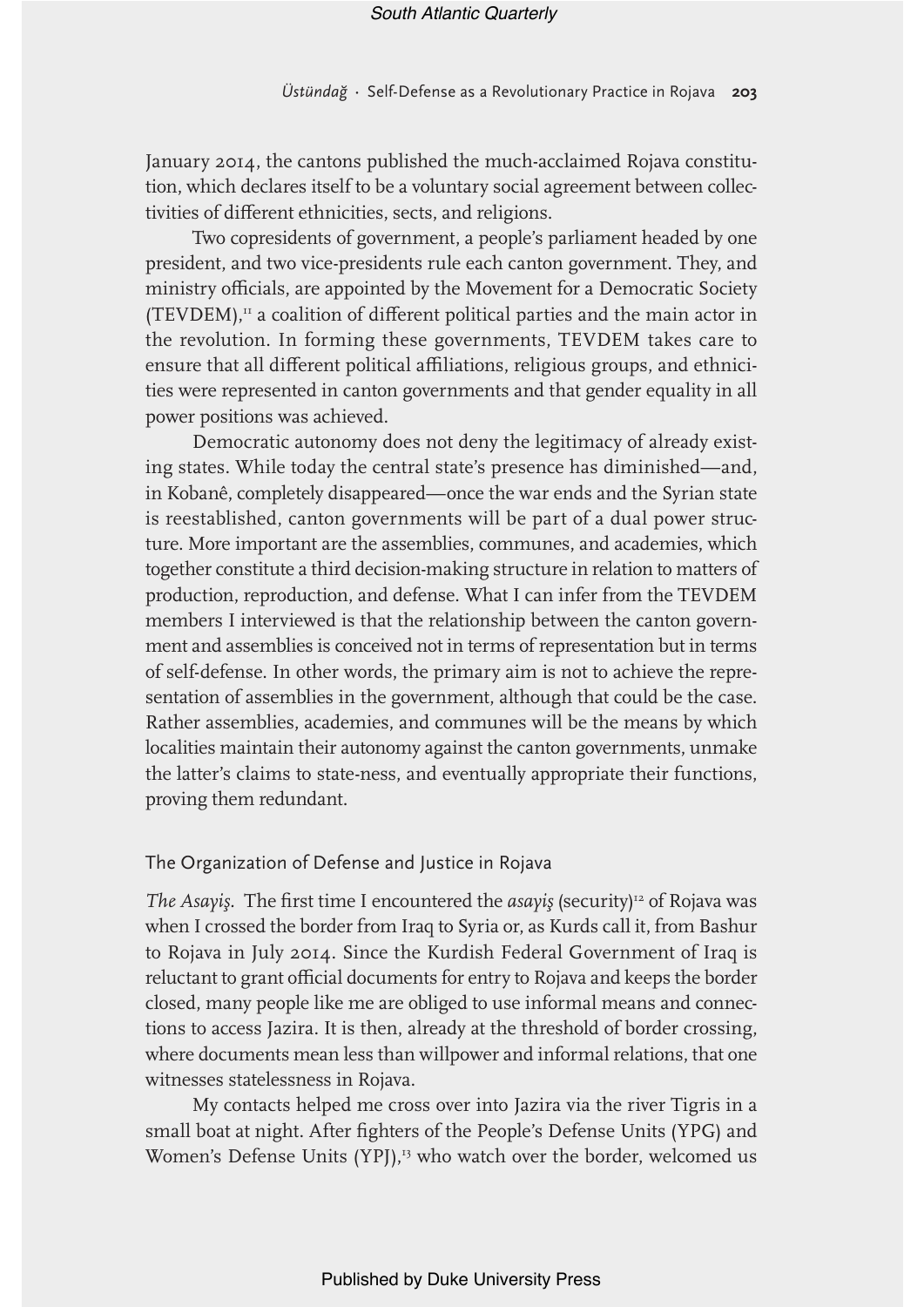January 2014, the cantons published the much-acclaimed Rojava constitution, which declares itself to be a voluntary social agreement between collectivities of diferent ethnicities, sects, and religions.

Two copresidents of government, a people's parliament headed by one president, and two vice-presidents rule each canton government. They, and ministry officials, are appointed by the Movement for a Democratic Society  $(TEVDEM)$ ,<sup> $\text{II}$ </sup> a coalition of different political parties and the main actor in the revolution. In forming these governments, TEVDEM takes care to ensure that all different political affiliations, religious groups, and ethnicities were represented in canton governments and that gender equality in all power positions was achieved.

Democratic autonomy does not deny the legitimacy of already existing states. While today the central state's presence has diminished—and, in Kobanê, completely disappeared—once the war ends and the Syrian state is reestablished, canton governments will be part of a dual power structure. More important are the assemblies, communes, and academies, which together constitute a third decision-making structure in relation to matters of production, reproduction, and defense. What I can infer from the TEVDEM members I interviewed is that the relationship between the canton government and assemblies is conceived not in terms of representation but in terms of self-defense. In other words, the primary aim is not to achieve the representation of assemblies in the government, although that could be the case. Rather assemblies, academies, and communes will be the means by which localities maintain their autonomy against the canton governments, unmake the latter's claims to state-ness, and eventually appropriate their functions, proving them redundant.

## The Organization of Defense and Justice in Rojava

The Asayiş. The first time I encountered the asayiş (security)<sup>12</sup> of Rojava was when I crossed the border from Iraq to Syria or, as Kurds call it, from Bashur to Rojava in July 2014. Since the Kurdish Federal Government of Iraq is reluctant to grant official documents for entry to Rojava and keeps the border closed, many people like me are obliged to use informal means and connections to access Jazira. It is then, already at the threshold of border crossing, where documents mean less than willpower and informal relations, that one witnesses statelessness in Rojava.

My contacts helped me cross over into Jazira via the river Tigris in a small boat at night. After fghters of the People's Defense Units (YPG) and Women's Defense Units (YPJ),<sup>13</sup> who watch over the border, welcomed us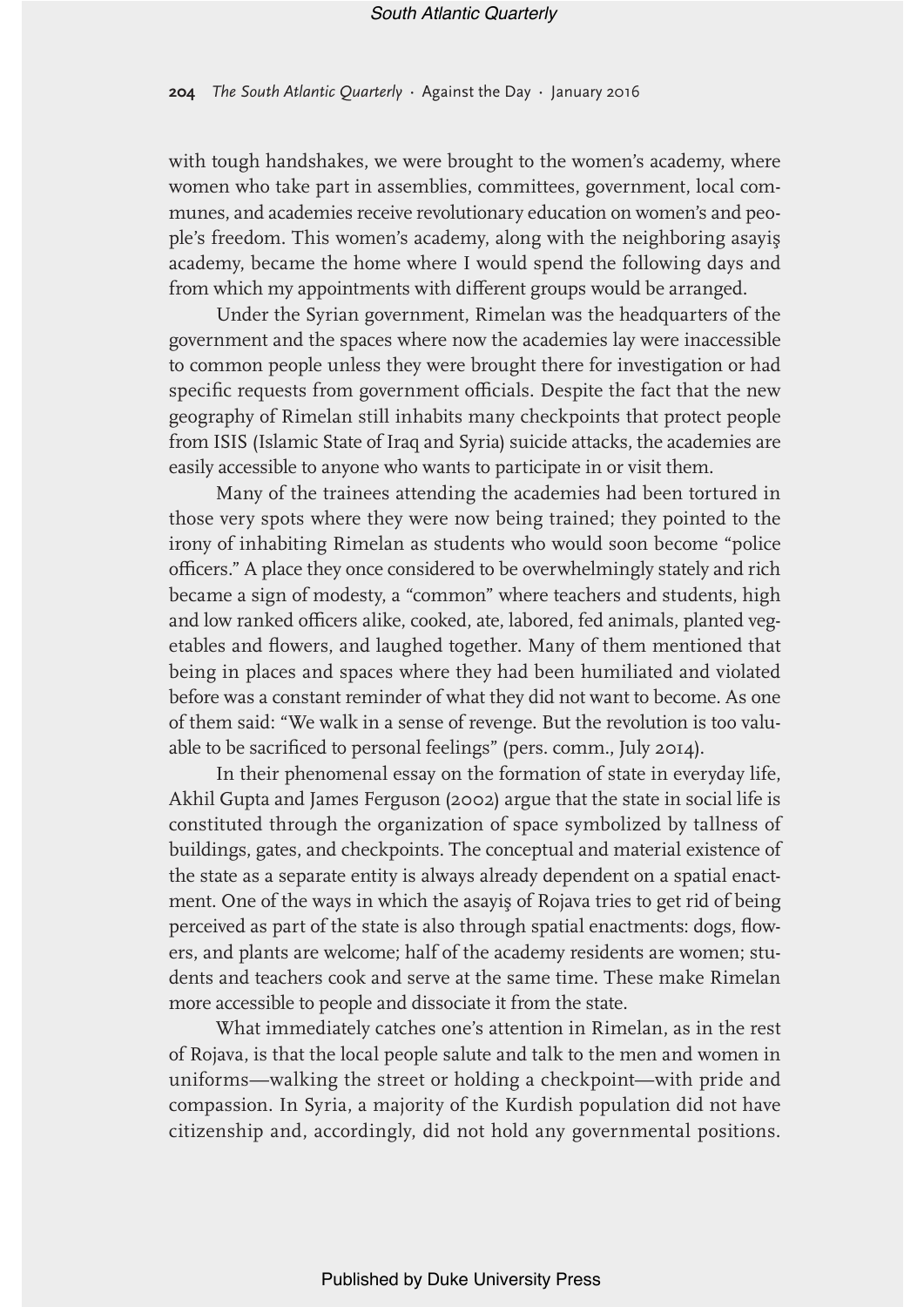**204** The South Atlantic Quarterly • Against the Day • January 2016

with tough handshakes, we were brought to the women's academy, where women who take part in assemblies, committees, government, local communes, and academies receive revolutionary education on women's and people's freedom. This women's academy, along with the neighboring asayiş academy, became the home where I would spend the following days and from which my appointments with diferent groups would be arranged.

Under the Syrian government, Rimelan was the headquarters of the government and the spaces where now the academies lay were inaccessible to common people unless they were brought there for investigation or had specific requests from government officials. Despite the fact that the new geography of Rimelan still inhabits many checkpoints that protect people from ISIS (Islamic State of Iraq and Syria) suicide attacks, the academies are easily accessible to anyone who wants to participate in or visit them.

Many of the trainees attending the academies had been tortured in those very spots where they were now being trained; they pointed to the irony of inhabiting Rimelan as students who would soon become "police officers." A place they once considered to be overwhelmingly stately and rich became a sign of modesty, a "common" where teachers and students, high and low ranked officers alike, cooked, ate, labored, fed animals, planted vegetables and fowers, and laughed together. Many of them mentioned that being in places and spaces where they had been humiliated and violated before was a constant reminder of what they did not want to become. As one of them said: "We walk in a sense of revenge. But the revolution is too valuable to be sacrifced to personal feelings" (pers. comm., July 2014).

In their phenomenal essay on the formation of state in everyday life, Akhil Gupta and James Ferguson (2002) argue that the state in social life is constituted through the organization of space symbolized by tallness of buildings, gates, and checkpoints. The conceptual and material existence of the state as a separate entity is always already dependent on a spatial enactment. One of the ways in which the asayiş of Rojava tries to get rid of being perceived as part of the state is also through spatial enactments: dogs, fowers, and plants are welcome; half of the academy residents are women; students and teachers cook and serve at the same time. These make Rimelan more accessible to people and dissociate it from the state.

What immediately catches one's attention in Rimelan, as in the rest of Rojava, is that the local people salute and talk to the men and women in uniforms—walking the street or holding a checkpoint—with pride and compassion. In Syria, a majority of the Kurdish population did not have citizenship and, accordingly, did not hold any governmental positions.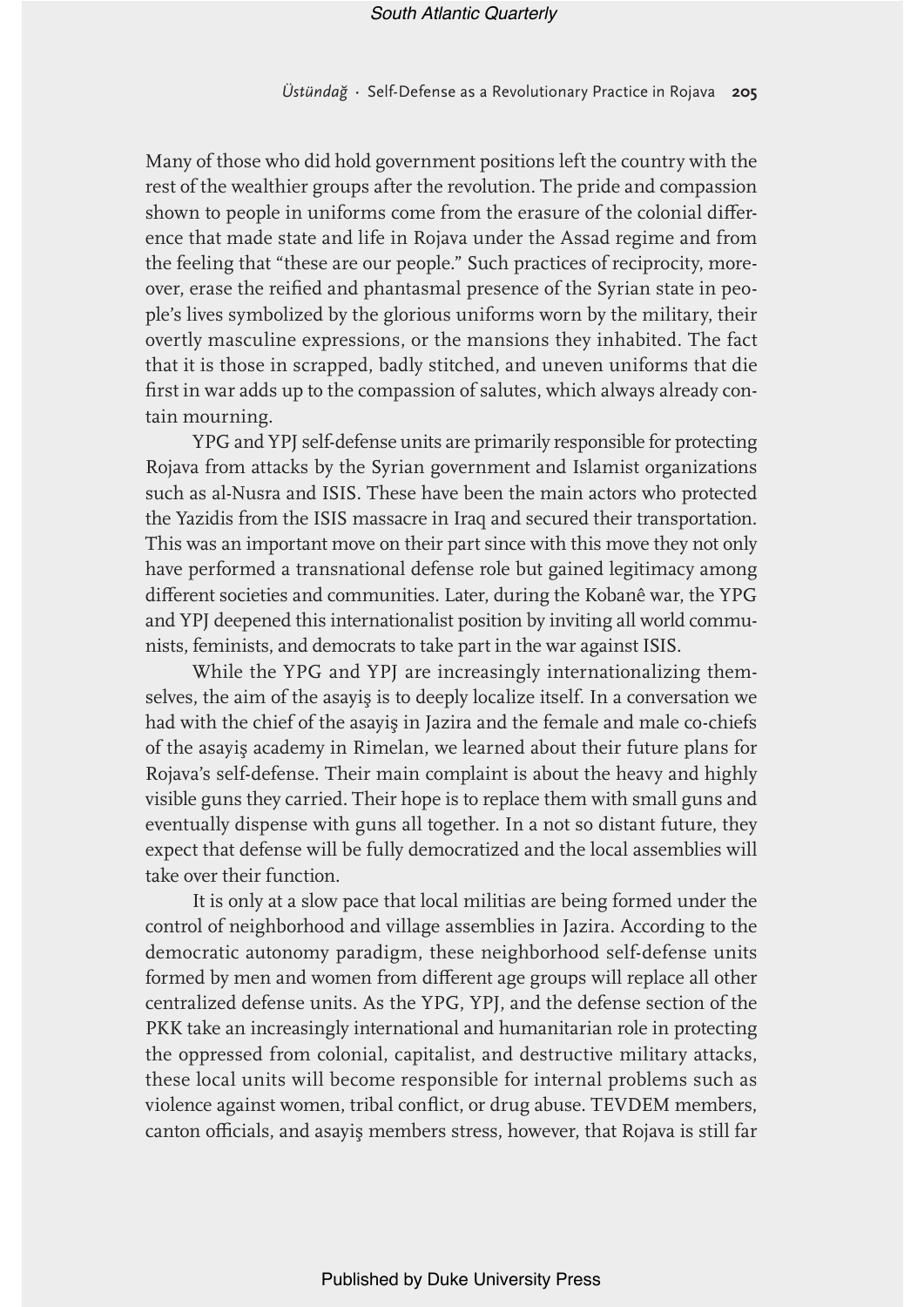Many of those who did hold government positions left the country with the rest of the wealthier groups after the revolution. The pride and compassion shown to people in uniforms come from the erasure of the colonial diference that made state and life in Rojava under the Assad regime and from the feeling that "these are our people." Such practices of reciprocity, moreover, erase the reifed and phantasmal presence of the Syrian state in people's lives symbolized by the glorious uniforms worn by the military, their overtly masculine expressions, or the mansions they inhabited. The fact that it is those in scrapped, badly stitched, and uneven uniforms that die frst in war adds up to the compassion of salutes, which always already contain mourning.

YPG and YPJ self-defense units are primarily responsible for protecting Rojava from attacks by the Syrian government and Islamist organizations such as al-Nusra and ISIS. These have been the main actors who protected the Yazidis from the ISIS massacre in Iraq and secured their transportation. This was an important move on their part since with this move they not only have performed a transnational defense role but gained legitimacy among diferent societies and communities. Later, during the Kobanê war, the YPG and YPJ deepened this internationalist position by inviting all world communists, feminists, and democrats to take part in the war against ISIS.

While the YPG and YPJ are increasingly internationalizing themselves, the aim of the asayiş is to deeply localize itself. In a conversation we had with the chief of the asayiş in Jazira and the female and male co-chiefs of the asayiş academy in Rimelan, we learned about their future plans for Rojava's self-defense. Their main complaint is about the heavy and highly visible guns they carried. Their hope is to replace them with small guns and eventually dispense with guns all together. In a not so distant future, they expect that defense will be fully democratized and the local assemblies will take over their function.

It is only at a slow pace that local militias are being formed under the control of neighborhood and village assemblies in Jazira. According to the democratic autonomy paradigm, these neighborhood self-defense units formed by men and women from diferent age groups will replace all other centralized defense units. As the YPG, YPJ, and the defense section of the PKK take an increasingly international and humanitarian role in protecting the oppressed from colonial, capitalist, and destructive military attacks, these local units will become responsible for internal problems such as violence against women, tribal confict, or drug abuse. TEVDEM members, canton officials, and asayis members stress, however, that Rojava is still far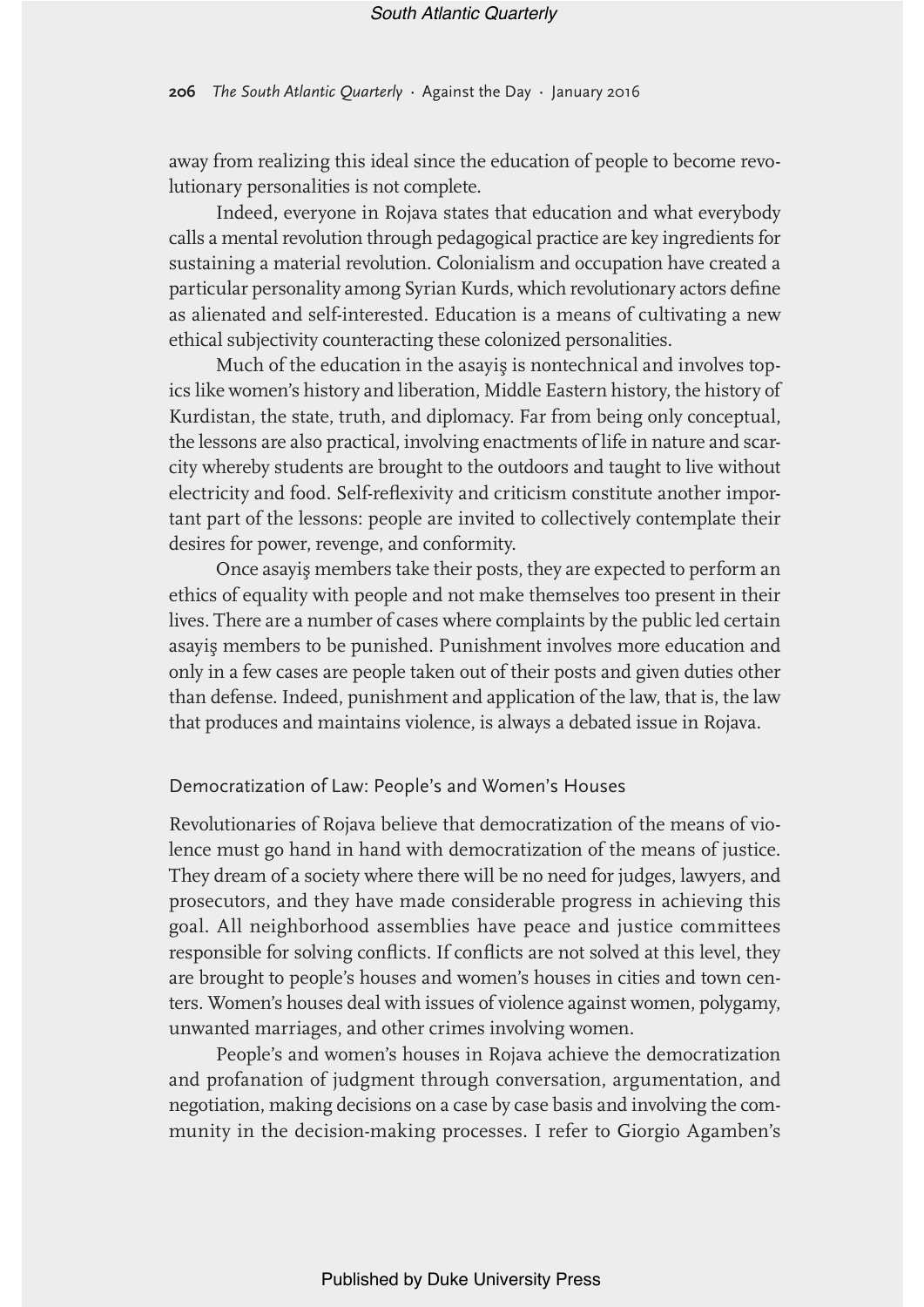**206** The South Atlantic Quarterly • Against the Day • January 2016

away from realizing this ideal since the education of people to become revolutionary personalities is not complete.

Indeed, everyone in Rojava states that education and what everybody calls a mental revolution through pedagogical practice are key ingredients for sustaining a material revolution. Colonialism and occupation have created a particular personality among Syrian Kurds, which revolutionary actors defne as alienated and self-interested. Education is a means of cultivating a new ethical subjectivity counteracting these colonized personalities.

Much of the education in the asayiş is nontechnical and involves topics like women's history and liberation, Middle Eastern history, the history of Kurdistan, the state, truth, and diplomacy. Far from being only conceptual, the lessons are also practical, involving enactments of life in nature and scarcity whereby students are brought to the outdoors and taught to live without electricity and food. Self-refexivity and criticism constitute another important part of the lessons: people are invited to collectively contemplate their desires for power, revenge, and conformity.

Once asayiş members take their posts, they are expected to perform an ethics of equality with people and not make themselves too present in their lives. There are a number of cases where complaints by the public led certain asayiş members to be punished. Punishment involves more education and only in a few cases are people taken out of their posts and given duties other than defense. Indeed, punishment and application of the law, that is, the law that produces and maintains violence, is always a debated issue in Rojava.

### Democratization of Law: People's and Women's Houses

Revolutionaries of Rojava believe that democratization of the means of violence must go hand in hand with democratization of the means of justice. They dream of a society where there will be no need for judges, lawyers, and prosecutors, and they have made considerable progress in achieving this goal. All neighborhood assemblies have peace and justice committees responsible for solving conficts. If conficts are not solved at this level, they are brought to people's houses and women's houses in cities and town centers. Women's houses deal with issues of violence against women, polygamy, unwanted marriages, and other crimes involving women.

People's and women's houses in Rojava achieve the democratization and profanation of judgment through conversation, argumentation, and negotiation, making decisions on a case by case basis and involving the community in the decision-making processes. I refer to Giorgio Agamben's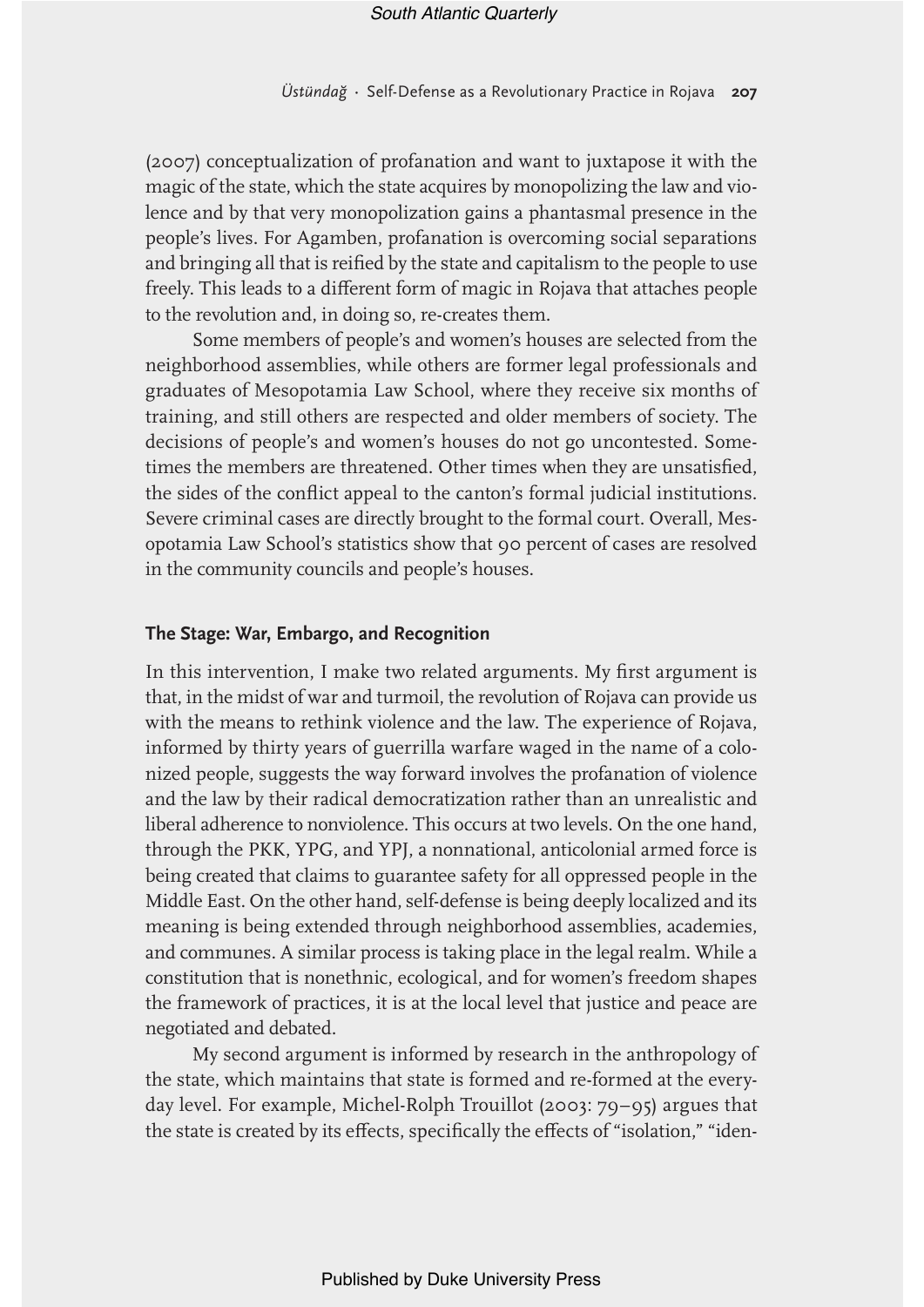(2007) conceptualization of profanation and want to juxtapose it with the magic of the state, which the state acquires by monopolizing the law and violence and by that very monopolization gains a phantasmal presence in the people's lives. For Agamben, profanation is overcoming social separations and bringing all that is reifed by the state and capitalism to the people to use freely. This leads to a diferent form of magic in Rojava that attaches people to the revolution and, in doing so, re-creates them.

Some members of people's and women's houses are selected from the neighborhood assemblies, while others are former legal professionals and graduates of Mesopotamia Law School, where they receive six months of training, and still others are respected and older members of society. The decisions of people's and women's houses do not go uncontested. Sometimes the members are threatened. Other times when they are unsatisfed, the sides of the confict appeal to the canton's formal judicial institutions. Severe criminal cases are directly brought to the formal court. Overall, Mesopotamia Law School's statistics show that 90 percent of cases are resolved in the community councils and people's houses.

#### **The Stage: War, Embargo, and Recognition**

In this intervention, I make two related arguments. My frst argument is that, in the midst of war and turmoil, the revolution of Rojava can provide us with the means to rethink violence and the law. The experience of Rojava, informed by thirty years of guerrilla warfare waged in the name of a colonized people, suggests the way forward involves the profanation of violence and the law by their radical democratization rather than an unrealistic and liberal adherence to nonviolence. This occurs at two levels. On the one hand, through the PKK, YPG, and YPJ, a nonnational, anticolonial armed force is being created that claims to guarantee safety for all oppressed people in the Middle East. On the other hand, self-defense is being deeply localized and its meaning is being extended through neighborhood assemblies, academies, and communes. A similar process is taking place in the legal realm. While a constitution that is nonethnic, ecological, and for women's freedom shapes the framework of practices, it is at the local level that justice and peace are negotiated and debated.

My second argument is informed by research in the anthropology of the state, which maintains that state is formed and re-formed at the everyday level. For example, Michel-Rolph Trouillot (2003: 79–95) argues that the state is created by its effects, specifically the effects of "isolation," "iden-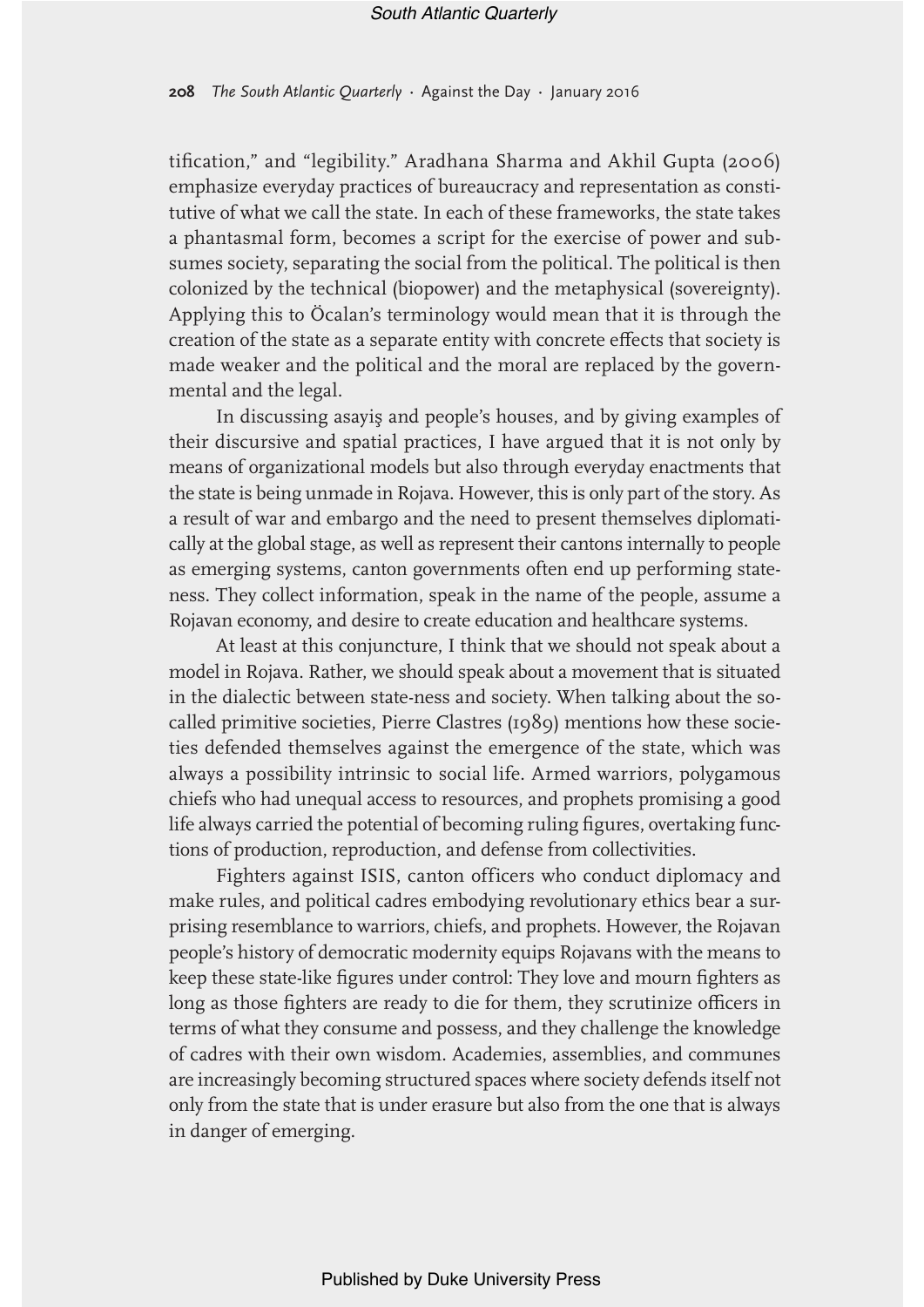**208** The South Atlantic Quarterly • Against the Day • January 2016

tifcation," and "legibility." Aradhana Sharma and Akhil Gupta (2006) emphasize everyday practices of bureaucracy and representation as constitutive of what we call the state. In each of these frameworks, the state takes a phantasmal form, becomes a script for the exercise of power and subsumes society, separating the social from the political. The political is then colonized by the technical (biopower) and the metaphysical (sovereignty). Applying this to Öcalan's terminology would mean that it is through the creation of the state as a separate entity with concrete efects that society is made weaker and the political and the moral are replaced by the governmental and the legal.

In discussing asayiş and people's houses, and by giving examples of their discursive and spatial practices, I have argued that it is not only by means of organizational models but also through everyday enactments that the state is being unmade in Rojava. However, this is only part of the story. As a result of war and embargo and the need to present themselves diplomatically at the global stage, as well as represent their cantons internally to people as emerging systems, canton governments often end up performing stateness. They collect information, speak in the name of the people, assume a Rojavan economy, and desire to create education and healthcare systems.

At least at this conjuncture, I think that we should not speak about a model in Rojava. Rather, we should speak about a movement that is situated in the dialectic between state-ness and society. When talking about the socalled primitive societies, Pierre Clastres (1989) mentions how these societies defended themselves against the emergence of the state, which was always a possibility intrinsic to social life. Armed warriors, polygamous chiefs who had unequal access to resources, and prophets promising a good life always carried the potential of becoming ruling fgures, overtaking functions of production, reproduction, and defense from collectivities.

Fighters against ISIS, canton officers who conduct diplomacy and make rules, and political cadres embodying revolutionary ethics bear a surprising resemblance to warriors, chiefs, and prophets. However, the Rojavan people's history of democratic modernity equips Rojavans with the means to keep these state-like fgures under control: They love and mourn fghters as long as those fighters are ready to die for them, they scrutinize officers in terms of what they consume and possess, and they challenge the knowledge of cadres with their own wisdom. Academies, assemblies, and communes are increasingly becoming structured spaces where society defends itself not only from the state that is under erasure but also from the one that is always in danger of emerging.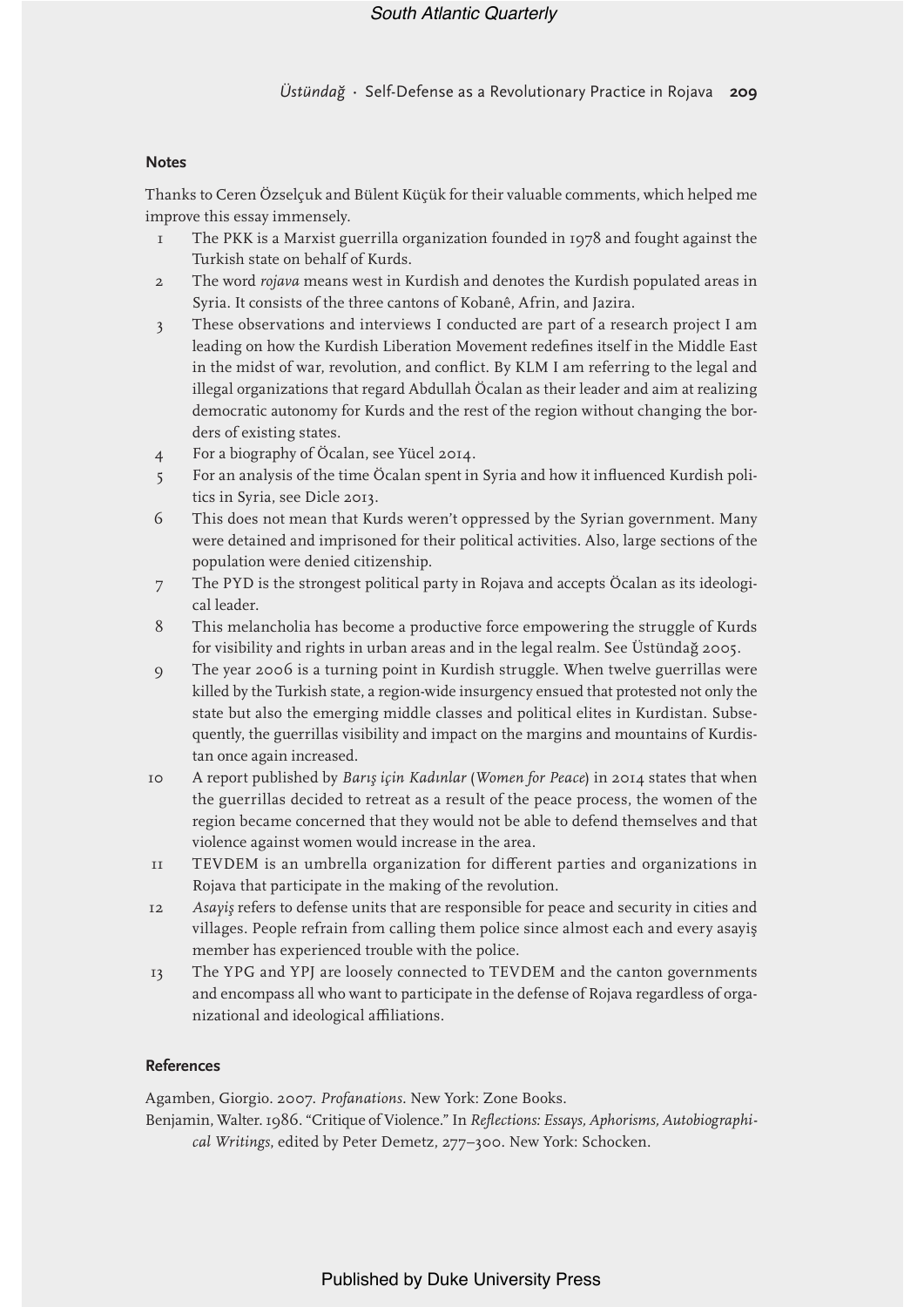Üstündağ • Self-Defense as a Revolutionary Practice in Rojava **209**

#### **Notes**

Thanks to Ceren Özselçuk and Bülent Küçük for their valuable comments, which helped me improve this essay immensely.

- 1 The PKK is a Marxist guerrilla organization founded in 1978 and fought against the Turkish state on behalf of Kurds.
- 2 The word rojava means west in Kurdish and denotes the Kurdish populated areas in Syria. It consists of the three cantons of Kobanê, Afrin, and Jazira.
- 3 These observations and interviews I conducted are part of a research project I am leading on how the Kurdish Liberation Movement redefnes itself in the Middle East in the midst of war, revolution, and confict. By KLM I am referring to the legal and illegal organizations that regard Abdullah Öcalan as their leader and aim at realizing democratic autonomy for Kurds and the rest of the region without changing the borders of existing states.
- 4 For a biography of Öcalan, see Yücel 2014.
- 5 For an analysis of the time Öcalan spent in Syria and how it infuenced Kurdish politics in Syria, see Dicle 2013.
- 6 This does not mean that Kurds weren't oppressed by the Syrian government. Many were detained and imprisoned for their political activities. Also, large sections of the population were denied citizenship.
- 7 The PYD is the strongest political party in Rojava and accepts Öcalan as its ideological leader.
- 8 This melancholia has become a productive force empowering the struggle of Kurds for visibility and rights in urban areas and in the legal realm. See Üstündağ 2005.
- 9 The year 2006 is a turning point in Kurdish struggle. When twelve guerrillas were killed by the Turkish state, a region-wide insurgency ensued that protested not only the state but also the emerging middle classes and political elites in Kurdistan. Subsequently, the guerrillas visibility and impact on the margins and mountains of Kurdistan once again increased.
- 10 A report published by Barış için Kadınlar (Women for Peace) in 2014 states that when the guerrillas decided to retreat as a result of the peace process, the women of the region became concerned that they would not be able to defend themselves and that violence against women would increase in the area.
- 11 TEVDEM is an umbrella organization for diferent parties and organizations in Rojava that participate in the making of the revolution.
- 12 Asayiş refers to defense units that are responsible for peace and security in cities and villages. People refrain from calling them police since almost each and every asayiş member has experienced trouble with the police.
- 13 The YPG and YPJ are loosely connected to TEVDEM and the canton governments and encompass all who want to participate in the defense of Rojava regardless of organizational and ideological afliations.

#### **References**

Agamben, Giorgio. 2007. Profanations. New York: Zone Books.

Benjamin, Walter. 1986. "Critique of Violence." In Refections: Essays, Aphorisms, Autobiographical Writings, edited by Peter Demetz, 277–300. New York: Schocken.